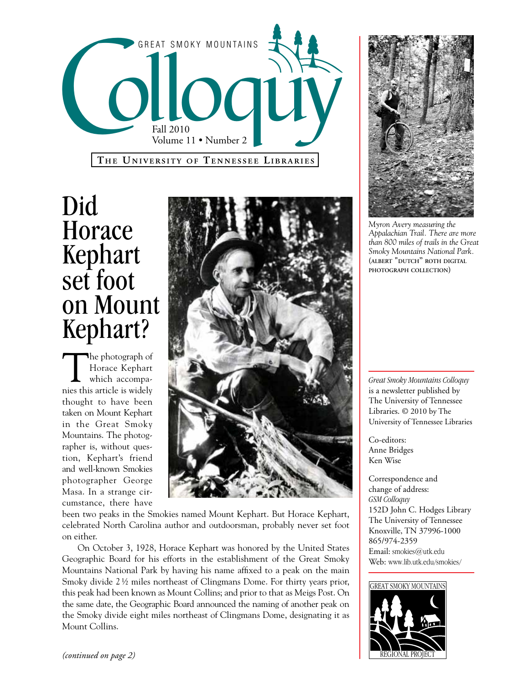

## Did Horace Kephart set foot on Mount Kephart?

The photograph of Horace Kephart which accompanies this article is widely thought to have been taken on Mount Kephart in the Great Smoky Mountains. The photographer is, without question, Kephart's friend and well-known Smokies photographer George Masa. In a strange circumstance, there have



been two peaks in the Smokies named Mount Kephart. But Horace Kephart, celebrated North Carolina author and outdoorsman, probably never set foot on either.

On October 3, 1928, Horace Kephart was honored by the United States Geographic Board for his efforts in the establishment of the Great Smoky Mountains National Park by having his name affixed to a peak on the main Smoky divide 2 ½ miles northeast of Clingmans Dome. For thirty years prior, this peak had been known as Mount Collins; and prior to that as Meigs Post. On the same date, the Geographic Board announced the naming of another peak on the Smoky divide eight miles northeast of Clingmans Dome, designating it as Mount Collins.



*Myron Avery measuring the Appalachian Trail. There are more than 800 miles of trails in the Great Smoky Mountains National Park.*  **(albert "dutch" roth digital photograph collection)**

*Great Smoky Mountains Colloquy*  is a newsletter published by The University of Tennessee Libraries. © 2010 by The University of Tennessee Libraries

Co-editors: Anne Bridges Ken Wise

Correspondence and change of address: *GSM Colloquy* 152D John C. Hodges Library The University of Tennessee Knoxville, TN 37996-1000 865/974-2359 Email: smokies@utk.edu Web: www.lib.utk.edu/smokies/

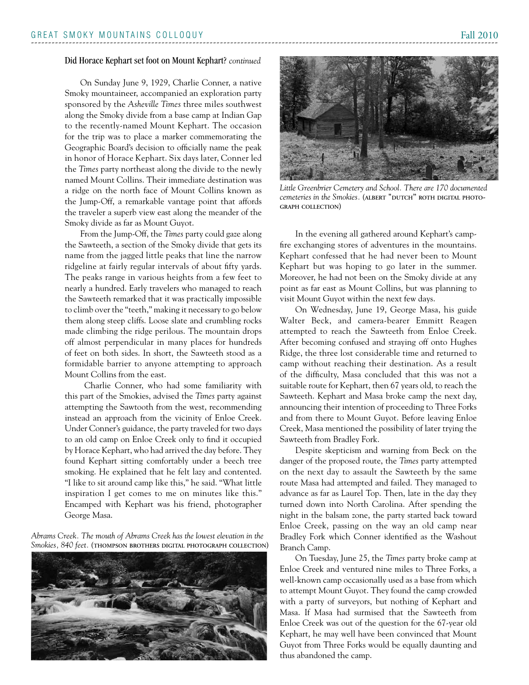On Sunday June 9, 1929, Charlie Conner, a native Smoky mountaineer, accompanied an exploration party sponsored by the *Asheville Times* three miles southwest along the Smoky divide from a base camp at Indian Gap to the recently-named Mount Kephart. The occasion for the trip was to place a marker commemorating the Geographic Board's decision to officially name the peak in honor of Horace Kephart. Six days later, Conner led the *Times* party northeast along the divide to the newly named Mount Collins. Their immediate destination was a ridge on the north face of Mount Collins known as the Jump-Off, a remarkable vantage point that affords the traveler a superb view east along the meander of the Smoky divide as far as Mount Guyot.

From the Jump-Off, the *Times* party could gaze along the Sawteeth, a section of the Smoky divide that gets its name from the jagged little peaks that line the narrow ridgeline at fairly regular intervals of about fifty yards. The peaks range in various heights from a few feet to nearly a hundred. Early travelers who managed to reach the Sawteeth remarked that it was practically impossible to climb over the "teeth," making it necessary to go below them along steep cliffs. Loose slate and crumbling rocks made climbing the ridge perilous. The mountain drops off almost perpendicular in many places for hundreds of feet on both sides. In short, the Sawteeth stood as a formidable barrier to anyone attempting to approach Mount Collins from the east.

 Charlie Conner, who had some familiarity with this part of the Smokies, advised the *Times* party against attempting the Sawtooth from the west, recommending instead an approach from the vicinity of Enloe Creek. Under Conner's guidance, the party traveled for two days to an old camp on Enloe Creek only to find it occupied by Horace Kephart, who had arrived the day before. They found Kephart sitting comfortably under a beech tree smoking. He explained that he felt lazy and contented. "I like to sit around camp like this," he said. "What little inspiration I get comes to me on minutes like this." Encamped with Kephart was his friend, photographer George Masa.

*Abrams Creek. The mouth of Abrams Creek has the lowest elevation in the Smokies, 840 feet.* **(thompson brothers digital photograph collection)**



*Little Greenbrier Cemetery and School. There are 170 documented*  cemeteries in the Smokies. (ALBERT "DUTCH" ROTH DIGITAL PHOTO**graph collection)**

In the evening all gathered around Kephart's campfire exchanging stores of adventures in the mountains. Kephart confessed that he had never been to Mount Kephart but was hoping to go later in the summer. Moreover, he had not been on the Smoky divide at any point as far east as Mount Collins, but was planning to visit Mount Guyot within the next few days.

On Wednesday, June 19, George Masa, his guide Walter Beck, and camera-bearer Emmitt Reagen attempted to reach the Sawteeth from Enloe Creek. After becoming confused and straying off onto Hughes Ridge, the three lost considerable time and returned to camp without reaching their destination. As a result of the difficulty, Masa concluded that this was not a suitable route for Kephart, then 67 years old, to reach the Sawteeth. Kephart and Masa broke camp the next day, announcing their intention of proceeding to Three Forks and from there to Mount Guyot. Before leaving Enloe Creek, Masa mentioned the possibility of later trying the Sawteeth from Bradley Fork.

Despite skepticism and warning from Beck on the danger of the proposed route, the *Times* party attempted on the next day to assault the Sawteeth by the same route Masa had attempted and failed. They managed to advance as far as Laurel Top. Then, late in the day they turned down into North Carolina. After spending the night in the balsam zone, the party started back toward Enloe Creek, passing on the way an old camp near Bradley Fork which Conner identified as the Washout Branch Camp.

On Tuesday, June 25, the *Times* party broke camp at Enloe Creek and ventured nine miles to Three Forks, a well-known camp occasionally used as a base from which to attempt Mount Guyot. They found the camp crowded with a party of surveyors, but nothing of Kephart and Masa. If Masa had surmised that the Sawteeth from Enloe Creek was out of the question for the 67-year old Kephart, he may well have been convinced that Mount Guyot from Three Forks would be equally daunting and thus abandoned the camp.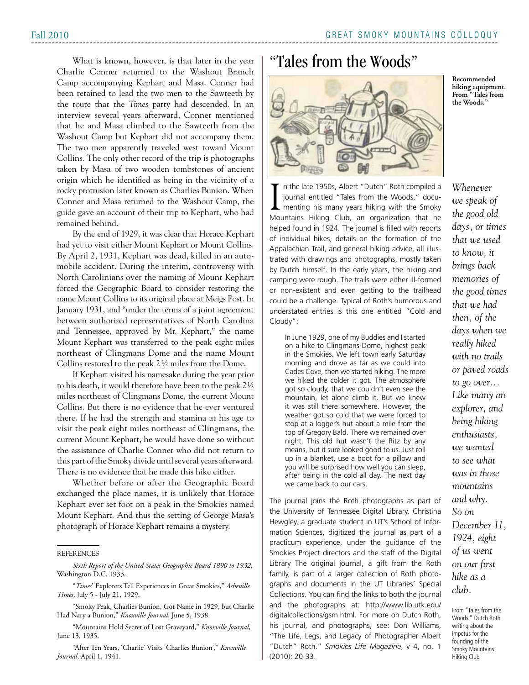Fall 2010

What is known, however, is that later in the year Charlie Conner returned to the Washout Branch Camp accompanying Kephart and Masa. Conner had been retained to lead the two men to the Sawteeth by the route that the *Times* party had descended. In an interview several years afterward, Conner mentioned that he and Masa climbed to the Sawteeth from the Washout Camp but Kephart did not accompany them. The two men apparently traveled west toward Mount Collins. The only other record of the trip is photographs taken by Masa of two wooden tombstones of ancient origin which he identified as being in the vicinity of a rocky protrusion later known as Charlies Bunion. When Conner and Masa returned to the Washout Camp, the guide gave an account of their trip to Kephart, who had remained behind.

By the end of 1929, it was clear that Horace Kephart had yet to visit either Mount Kephart or Mount Collins. By April 2, 1931, Kephart was dead, killed in an automobile accident. During the interim, controversy with North Carolinians over the naming of Mount Kephart forced the Geographic Board to consider restoring the name Mount Collins to its original place at Meigs Post. In January 1931, and "under the terms of a joint agreement between authorized representatives of North Carolina and Tennessee, approved by Mr. Kephart," the name Mount Kephart was transferred to the peak eight miles northeast of Clingmans Dome and the name Mount Collins restored to the peak 2 ½ miles from the Dome.

If Kephart visited his namesake during the year prior to his death, it would therefore have been to the peak 2 ½ miles northeast of Clingmans Dome, the current Mount Collins. But there is no evidence that he ever ventured there. If he had the strength and stamina at his age to visit the peak eight miles northeast of Clingmans, the current Mount Kephart, he would have done so without the assistance of Charlie Conner who did not return to this part of the Smoky divide until several years afterward. There is no evidence that he made this hike either.

Whether before or after the Geographic Board exchanged the place names, it is unlikely that Horace Kephart ever set foot on a peak in the Smokies named Mount Kephart. And thus the setting of George Masa's photograph of Horace Kephart remains a mystery.

"Mountains Hold Secret of Lost Graveyard," *Knoxville Journal*, June 13, 1935.

"After Ten Years, 'Charlie' Visits 'Charlies Bunion'," *Knoxville Journal*, April 1, 1941.

## "Tales from the Woods"



I n the late 1950s, Albert "Dutch" Roth compiled a journal entitled "Tales from the Woods," documenting his many years hiking with the Smoky Mountains Hiking Club, an organization that he helped found in 1924. The journal is filled with reports of individual hikes, details on the formation of the Appalachian Trail, and general hiking advice, all illustrated with drawings and photographs, mostly taken by Dutch himself. In the early years, the hiking and camping were rough. The trails were either ill-formed or non-existent and even getting to the trailhead could be a challenge. Typical of Roth's humorous and understated entries is this one entitled "Cold and Cloudy":

In June 1929, one of my Buddies and I started on a hike to Clingmans Dome, highest peak in the Smokies. We left town early Saturday morning and drove as far as we could into Cades Cove, then we started hiking. The more we hiked the colder it got. The atmosphere got so cloudy, that we couldn't even see the mountain, let alone climb it. But we knew it was still there somewhere. However, the weather got so cold that we were forced to stop at a logger's hut about a mile from the top of Gregory Bald. There we remained over night. This old hut wasn't the Ritz by any means, but it sure looked good to us. Just roll up in a blanket, use a boot for a pillow and you will be surprised how well you can sleep, after being in the cold all day. The next day we came back to our cars.

The journal joins the Roth photographs as part of the University of Tennessee Digital Library. Christina Hewgley, a graduate student in UT's School of Information Sciences, digitized the journal as part of a practicum experience, under the guidance of the Smokies Project directors and the staff of the Digital Library The original journal, a gift from the Roth family, is part of a larger collection of Roth photographs and documents in the UT Libraries' Special Collections. You can find the links to both the journal and the photographs at: http://www.lib.utk.edu/ digitalcollections/gsm.html. For more on Dutch Roth, his journal, and photographs, see: Don Williams, "The Life, Legs, and Legacy of Photographer Albert "Dutch" Roth." *Smokies Life Magazine*, v 4, no. 1 (2010): 20-33.

*Whenever we speak of the good old days, or times that we used to know, it brings back memories of the good times that we had then, of the days when we really hiked with no trails or paved roads to go over... Like many an explorer, and being hiking enthusiasts, we wanted to see what was in those mountains and why. So on* 

**Recommended hiking equipment. From "Tales from the Woods."**

*December 11, 1924, eight of us went on our first hike as a club.*

From "Tales from the Woods." Dutch Roth writing about the impetus for the founding of the Smoky Mountains Hiking Club.

**REFERENCES** 

*Sixth Report of the United States Geographic Board 1890 to 1932*, Washington D.C. 1933.

<sup>&</sup>quot;*Times*' Explorers Tell Experiences in Great Smokies," *Asheville Times*, July 5 - July 21, 1929.

<sup>&</sup>quot;Smoky Peak, Charlies Bunion, Got Name in 1929, but Charlie Had Nary a Bunion," *Knoxville Journal*, June 5, 1938.